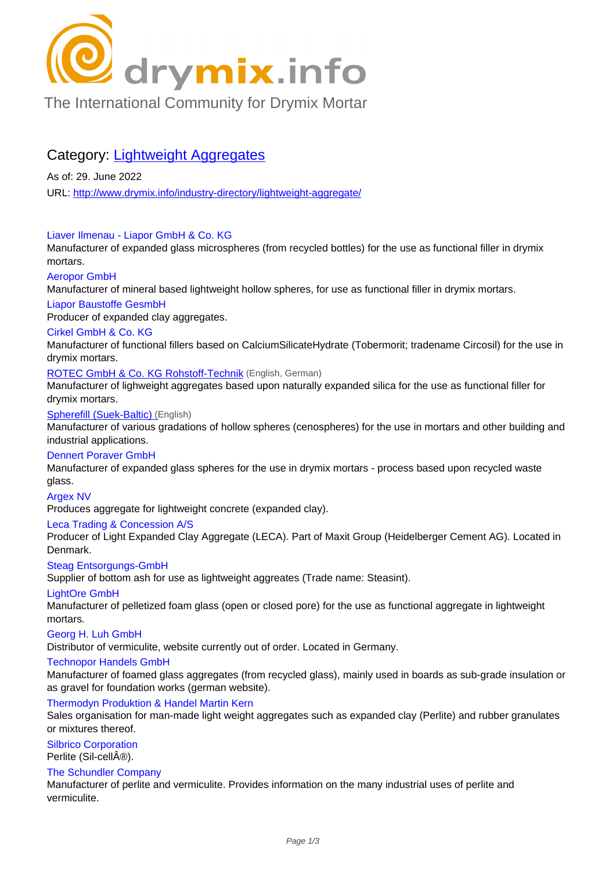

# [The International Community for Drymix Mortar](/industry-directory/)

## Category: Lightweight Aggregates

As of: 29. June 2022 URL: http://www.drymix.info/industry-directory/lightweight-aggregate/

## Liaver Ilmenau - Liapor GmbH & Co. KG

Manu[facturer of expanded glass microspheres \(from recycled bottles](http://www.drymix.info/industry-directory/lightweight-aggregate/)) for the use as functional filler in drymix mortars.

## Aeropor GmbH

Manufacturer of mineral based lightweight hollow spheres, for use as functional filler in drymix mortars.

## Liapor Baustoffe GesmbH

Producer of expanded clay aggregates.

## Cirkel GmbH & Co. KG

Manufacturer of functional fillers based on CalciumSilicateHydrate (Tobermorit; tradename Circosil) for the use in drymix mortars.

ROTEC GmbH & Co. KG Rohstoff-Technik (English, German)

Manufacturer of lighweight aggregates based upon naturally expanded silica for the use as functional filler for drymix mortars.

## Spherefill (Suek-Baltic) (English)

[Manufacturer of various gradations of hollow](http://www.drymix.info/industry-directory/redir.php?lid=8650) spheres (cenospheres) for the use in mortars and other building and industrial applications.

### Dennert Poraver GmbH

[Manufacturer of expande](http://www.drymix.info/industry-directory/redir.php?lid=9001)d glass spheres for the use in drymix mortars - process based upon recycled waste glass.

#### Argex NV

Produces aggregate for lightweight concrete (expanded clay).

#### Leca Trading & Concession A/S

Producer of Light Expanded Clay Aggregate (LECA). Part of Maxit Group (Heidelberger Cement AG). Located in Denmark.

#### Steag Entsorgungs-GmbH

Supplier of bottom ash for use as lightweight aggreates (Trade name: Steasint).

#### LightOre GmbH

Manufacturer of pelletized foam glass (open or closed pore) for the use as functional aggregate in lightweight mortars.

#### Georg H. Luh GmbH

Distributor of vermiculite, website currently out of order. Located in Germany.

#### Technopor Handels GmbH

Manufacturer of foamed glass aggregates (from recycled glass), mainly used in boards as sub-grade insulation or as gravel for foundation works (german website).

## Thermodyn Produktion & Handel Martin Kern

Sales organisation for man-made light weight aggregates such as expanded clay (Perlite) and rubber granulates or mixtures thereof.

#### Silbrico Corporation

Perlite (Sil-cell®).

## The Schundler Company

Manufacturer of perlite and vermiculite. Provides information on the many industrial uses of perlite and vermiculite.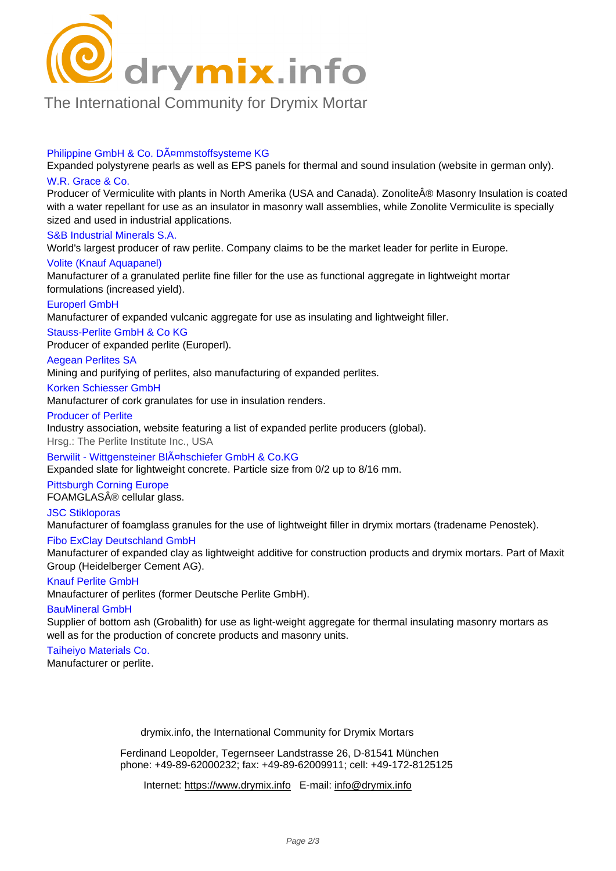

## [The International Community for Drymix Mortar](/industry-directory/)

#### Philippine GmbH & Co. DA<sup>¤</sup>mmstoffsysteme KG

Expanded polystyrene pearls as well as EPS panels for thermal and sound insulation (website in german only). W.R. Grace & Co.

Producer of Vermiculite with plants in North Amerika (USA and Canada). Zonolite® Masonry Insulation is coated with a water repellant for use as an insulator in masonry wall assemblies, while Zonolite Vermiculite is specially sized and used in industrial applications.

#### S&B Industrial Minerals S.A.

World's largest producer of raw perlite. Company claims to be the market leader for perlite in Europe.

#### Volite (Knauf Aquapanel)

Manufacturer of a granulated perlite fine filler for the use as functional aggregate in lightweight mortar formulations (increased yield).

#### Europerl GmbH

Manufacturer of expanded vulcanic aggregate for use as insulating and lightweight filler.

Stauss-Perlite GmbH & Co KG

Producer of expanded perlite (Europerl).

#### Aegean Perlites SA

Mining and purifying of perlites, also manufacturing of expanded perlites.

#### Korken Schiesser GmbH

Manufacturer of cork granulates for use in insulation renders.

#### Producer of Perlite

Industry association, website featuring a list of expanded perlite producers (global).

Hrsg.: The Perlite Institute Inc., USA

Berwilit - Wittgensteiner BIA¤hschiefer GmbH & Co.KG

Expanded slate for lightweight concrete. Particle size from 0/2 up to 8/16 mm.

#### Pittsburgh Corning Europe

FOAMGLAS® cellular glass.

#### JSC Stikloporas

Manufacturer of foamglass granules for the use of lightweight filler in drymix mortars (tradename Penostek).

#### Fibo ExClay Deutschland GmbH

Manufacturer of expanded clay as lightweight additive for construction products and drymix mortars. Part of Maxit Group (Heidelberger Cement AG).

#### Knauf Perlite GmbH

Mnaufacturer of perlites (former Deutsche Perlite GmbH).

#### BauMineral GmbH

Supplier of bottom ash (Grobalith) for use as light-weight aggregate for thermal insulating masonry mortars as well as for the production of concrete products and masonry units.

## Taiheiyo Materials Co.

Manufacturer or perlite.

drymix.info, the International Community for Drymix Mortars

Ferdinand Leopolder, Tegernseer Landstrasse 26, D-81541 München phone: +49-89-62000232; fax: +49-89-62009911; cell: +49-172-8125125

Internet: https://www.drymix.info E-mail: info@drymix.info